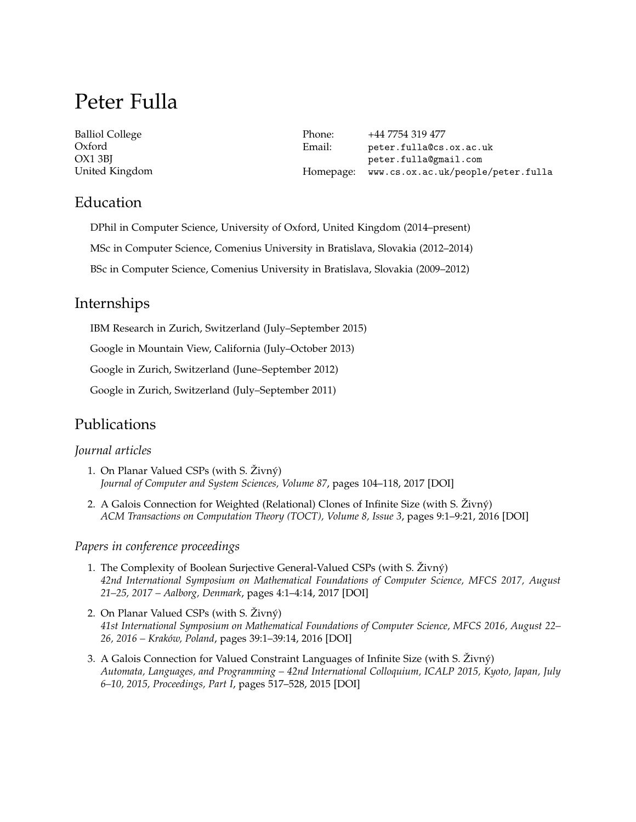# Peter Fulla

| <b>Balliol College</b> | Phone: | +44 7754 319 477                             |
|------------------------|--------|----------------------------------------------|
| Oxford                 | Email: | peter.fulla@cs.ox.ac.uk                      |
| OX1 3BI                |        | peter.fulla@gmail.com                        |
| United Kingdom         |        | Homepage: www.cs.ox.ac.uk/people/peter.fulla |

## Education

DPhil in Computer Science, University of Oxford, United Kingdom (2014–present) MSc in Computer Science, Comenius University in Bratislava, Slovakia (2012–2014) BSc in Computer Science, Comenius University in Bratislava, Slovakia (2009–2012)

# Internships

IBM Research in Zurich, Switzerland (July–September 2015)

Google in Mountain View, California (July–October 2013)

Google in Zurich, Switzerland (June–September 2012)

Google in Zurich, Switzerland (July–September 2011)

# Publications

#### *Journal articles*

- 1. On Planar Valued CSPs (with S. Živný) *Journal of Computer and System Sciences, Volume 87*, pages 104–118, 2017 [\[DOI\]](https://doi.org/10.1016/j.jcss.2017.03.005)
- 2. A Galois Connection for Weighted (Relational) Clones of Infinite Size (with S. Živný) *ACM Transactions on Computation Theory (TOCT), Volume 8, Issue 3*, pages 9:1–9:21, 2016 [\[DOI\]](https://dx.doi.org/10.1145/2898438)

*Papers in conference proceedings*

- 1. The Complexity of Boolean Surjective General-Valued CSPs (with S. Živný) *42nd International Symposium on Mathematical Foundations of Computer Science, MFCS 2017, August 21–25, 2017 – Aalborg, Denmark*, pages 4:1–4:14, 2017 [\[DOI\]](https://doi.org/10.4230/LIPIcs.MFCS.2017.4)
- 2. On Planar Valued CSPs (with S. Živný) *41st International Symposium on Mathematical Foundations of Computer Science, MFCS 2016, August 22– 26, 2016 – Kraków, Poland*, pages 39:1–39:14, 2016 [\[DOI\]](https://dx.doi.org/10.4230/LIPIcs.MFCS.2016.39)
- 3. A Galois Connection for Valued Constraint Languages of Infinite Size (with S. Živný) *Automata, Languages, and Programming – 42nd International Colloquium, ICALP 2015, Kyoto, Japan, July 6–10, 2015, Proceedings, Part I*, pages 517–528, 2015 [\[DOI\]](https://dx.doi.org/10.1007/978-3-662-47672-7_42)